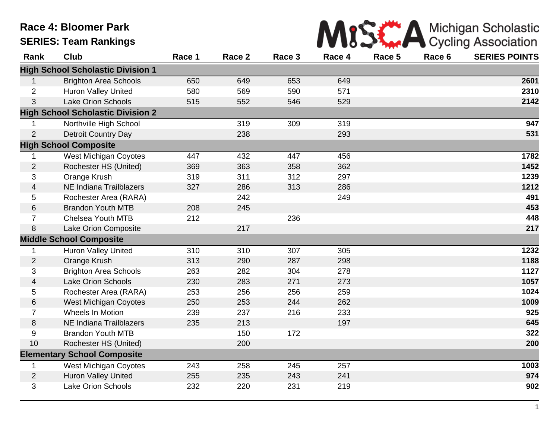## **Race 4: Bloomer Park SERIES: Team Rankings**



| Rank             | Club                                     | Race 1 | Race 2 | Race 3 | Race 4 | Race 5 | Race 6 | <b>SERIES POINTS</b> |
|------------------|------------------------------------------|--------|--------|--------|--------|--------|--------|----------------------|
|                  | <b>High School Scholastic Division 1</b> |        |        |        |        |        |        |                      |
| $\mathbf{1}$     | <b>Brighton Area Schools</b>             | 650    | 649    | 653    | 649    |        |        | 2601                 |
| $\overline{2}$   | <b>Huron Valley United</b>               | 580    | 569    | 590    | 571    |        |        | 2310                 |
| 3                | <b>Lake Orion Schools</b>                | 515    | 552    | 546    | 529    |        |        | 2142                 |
|                  | <b>High School Scholastic Division 2</b> |        |        |        |        |        |        |                      |
| 1                | Northville High School                   |        | 319    | 309    | 319    |        |        | 947                  |
| $\overline{2}$   | <b>Detroit Country Day</b>               |        | 238    |        | 293    |        |        | 531                  |
|                  | <b>High School Composite</b>             |        |        |        |        |        |        |                      |
| 1                | <b>West Michigan Coyotes</b>             | 447    | 432    | 447    | 456    |        |        | 1782                 |
| $\overline{2}$   | Rochester HS (United)                    | 369    | 363    | 358    | 362    |        |        | 1452                 |
| 3                | Orange Krush                             | 319    | 311    | 312    | 297    |        |        | 1239                 |
| 4                | <b>NE Indiana Trailblazers</b>           | 327    | 286    | 313    | 286    |        |        | 1212                 |
| 5                | Rochester Area (RARA)                    |        | 242    |        | 249    |        |        | 491                  |
| 6                | <b>Brandon Youth MTB</b>                 | 208    | 245    |        |        |        |        | 453                  |
| $\overline{7}$   | <b>Chelsea Youth MTB</b>                 | 212    |        | 236    |        |        |        | 448                  |
| 8                | Lake Orion Composite                     |        | 217    |        |        |        |        | 217                  |
|                  | <b>Middle School Composite</b>           |        |        |        |        |        |        |                      |
| 1                | <b>Huron Valley United</b>               | 310    | 310    | 307    | 305    |        |        | 1232                 |
| $\overline{c}$   | Orange Krush                             | 313    | 290    | 287    | 298    |        |        | 1188                 |
| 3                | <b>Brighton Area Schools</b>             | 263    | 282    | 304    | 278    |        |        | 1127                 |
| 4                | <b>Lake Orion Schools</b>                | 230    | 283    | 271    | 273    |        |        | 1057                 |
| 5                | Rochester Area (RARA)                    | 253    | 256    | 256    | 259    |        |        | 1024                 |
| 6                | <b>West Michigan Coyotes</b>             | 250    | 253    | 244    | 262    |        |        | 1009                 |
| $\overline{7}$   | Wheels In Motion                         | 239    | 237    | 216    | 233    |        |        | 925                  |
| 8                | <b>NE Indiana Trailblazers</b>           | 235    | 213    |        | 197    |        |        | 645                  |
| $\boldsymbol{9}$ | <b>Brandon Youth MTB</b>                 |        | 150    | 172    |        |        |        | 322                  |
| 10               | Rochester HS (United)                    |        | 200    |        |        |        |        | 200                  |
|                  | <b>Elementary School Composite</b>       |        |        |        |        |        |        |                      |
| $\mathbf{1}$     | <b>West Michigan Coyotes</b>             | 243    | 258    | 245    | 257    |        |        | 1003                 |
| $\overline{2}$   | <b>Huron Valley United</b>               | 255    | 235    | 243    | 241    |        |        | 974                  |
| 3                | <b>Lake Orion Schools</b>                | 232    | 220    | 231    | 219    |        |        | 902                  |